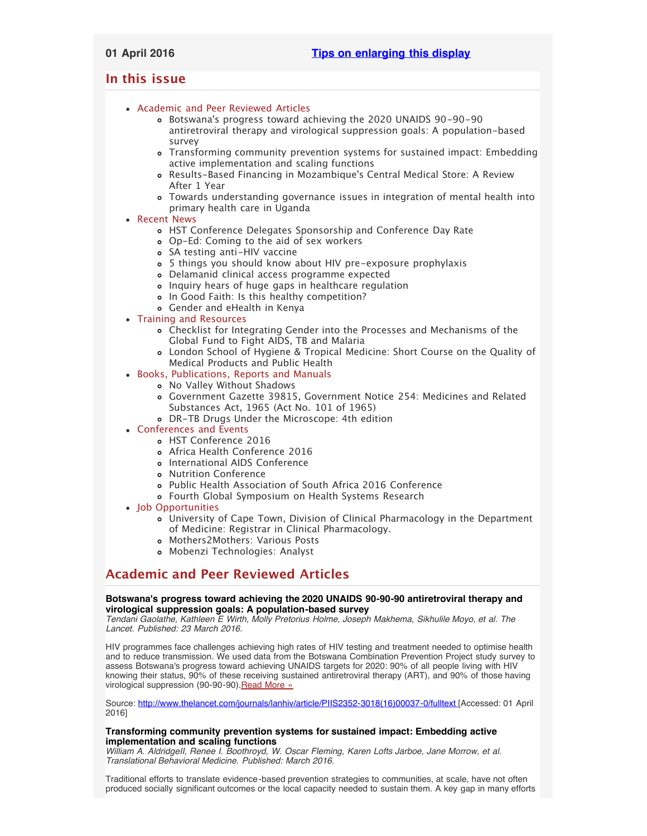# <span id="page-0-3"></span><span id="page-0-2"></span>**In this issue**

- [Academic and Peer Reviewed Articles](#page-0-0)
	- Botswana['s progress toward achieving the 2020 UNAIDS 90-90-90](#page-0-1) [antiretroviral therapy and virological suppression goals: A population-based](#page-0-1) [survey](#page-0-1)
	- [Transforming community prevention systems for sustained impact: Embedding](#page-0-1) [active implementation and scaling functions](#page-0-1)
	- Results-Based Financing in Mozambique['s Central Medical Store: A Review](#page-1-0) [After 1 Year](#page-1-0)
	- [Towards understanding governance issues in integration of mental health into](#page-1-0) [primary health care in Uganda](#page-1-0)
- [Recent News](#page-1-1)
	- [HST Conference Delegates Sponsorship and Conference Day Rate](#page-1-2)
	- [Op-Ed: Coming to the aid of sex workers](#page-1-2)
	- [SA testing anti-HIV vaccine](#page-1-3)
	- [5 things you should know about HIV pre-exposure prophylaxis](#page-1-4)
	- [Delamanid clinical access programme expected](#page-1-5)
	- [Inquiry hears of huge gaps in healthcare regulation](#page-0-2)
	- o [In Good Faith: Is this healthy competition?](#page-0-2)
	- [Gender and eHealth in Kenya](#page-0-2)
- [Training and Resources](#page-4-0)
	- [Checklist for Integrating Gender into the Processes and Mechanisms of the](#page-2-0) [Global Fund to Fight AIDS, TB and Malaria](#page-2-0)
	- [London School of Hygiene & Tropical Medicine: Short Course on the Quality of](#page-2-0) [Medical Products and Public Health](#page-2-0)
- [Books, Publications, Reports and Manuals](#page-2-1)
	- [No Valley Without Shadows](#page-3-0)
	- [Government Gazette 39815, Government Notice 254: Medicines and Related](#page-3-0) [Substances Act, 1965 \(Act No. 101 of 1965\)](#page-3-0)
	- [DR-TB Drugs Under the Microscope: 4th edition](#page-3-0)
- [Conferences and Events](#page-3-1)
	- [HST Conference 2016](#page-4-1)
	- [Africa Health Conference 2016](#page-4-1)
	- [International AIDS Conference](#page-4-1)
	- [Nutrition Conference](#page-0-2)
	- [Public Health Association of South Africa 2016 Conference](#page-4-1)
	- [Fourth Global Symposium on Health Systems Research](#page-0-2)
- [Job Opportunities](#page-0-2)
	- [University of Cape Town, Division of Clinical Pharmacology in the Department](#page-4-2) [of Medicine: Registrar in Clinical Pharmacology.](#page-4-2)
	- [Mothers2Mothers: Various Posts](#page-4-2)
	- [Mobenzi Technologies: Analyst](#page-4-3)

# <span id="page-0-0"></span>**Academic and Peer Reviewed Articles**

## **Botswana's progress toward achieving the 2020 UNAIDS 90-90-90 antiretroviral therapy and virological suppression goals: A population-based survey**

*Tendani Gaolathe, Kathleen E Wirth, Molly Pretorius Holme, Joseph Makhema, Sikhulile Moyo, et al. The Lancet. Published: 23 March 2016.*

HIV programmes face challenges achieving high rates of HIV testing and treatment needed to optimise health and to reduce transmission. We used data from the Botswana Combination Prevention Project study survey to assess Botswana's progress toward achieving UNAIDS targets for 2020: 90% of all people living with HIV knowing their status, 90% of these receiving sustained antiretroviral therapy (ART), and 90% of those having virological suppression (90-90-90). Read More »

Source: [http://www.thelancet.com/journals/lanhiv/article/PIIS2352-3018\(16\)00037-0/fulltext \[](http://www.thelancet.com/journals/lanhiv/article/PIIS2352-3018(16)00037-0/fulltext)Accessed: 01 April 2016]

## <span id="page-0-1"></span>**Transforming community prevention systems for sustained impact: Embedding active implementation and scaling functions**

*William A. AldridgeII, Renee I. Boothroyd, W. Oscar Fleming, Karen Lofts Jarboe, Jane Morrow, et al. Translational Behavioral Medicine. Published: March 2016.*

Traditional efforts to translate evidence-based prevention strategies to communities, at scale, have not often produced socially significant outcomes or the local capacity needed to sustain them. A key gap in many efforts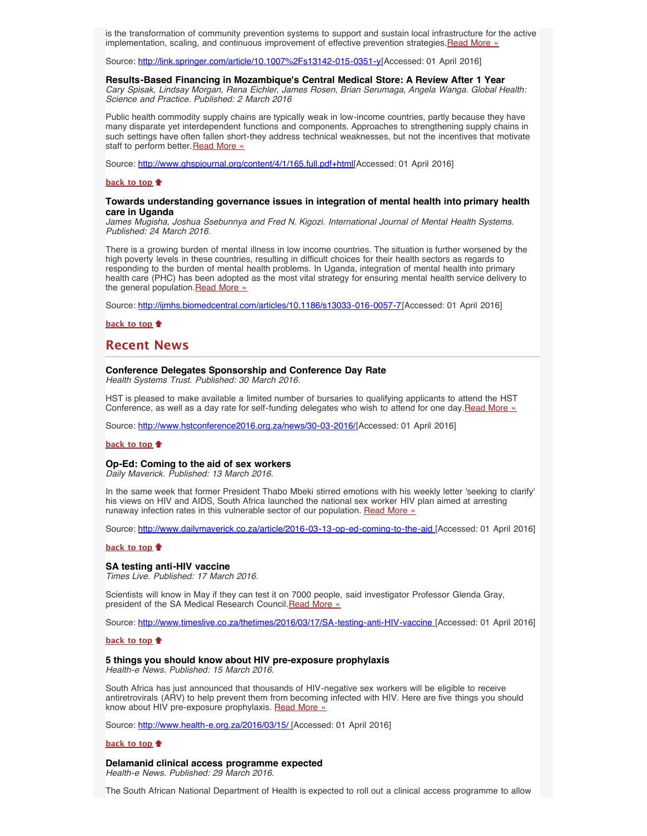is the transformation of community prevention systems to support and sustain local infrastructure for the active implementation, scaling, and continuous improvement of effective prevention strategies. Read More »

Source: <http://link.springer.com/article/10.1007%2Fs13142-015-0351-y>[Accessed: 01 April 2016]

#### **Results-Based Financing in Mozambique's Central Medical Store: A Review After 1 Year**

*Cary Spisak, Lindsay Morgan, Rena Eichler, James Rosen, Brian Serumaga, Angela Wanga. Global Health: Science and Practice. Published: 2 March 2016*

Public health commodity supply chains are typically weak in low-income countries, partly because they have many disparate yet interdependent functions and components. Approaches to strengthening supply chains in such settings have often fallen short-they address technical weaknesses, but not the incentives that motivate staff to perform better. [Read More »](http://www.ghspjournal.org/content/4/1/165.full.pdf+html)

Source: [http://www.ghspjournal.org/content/4/1/165.full.pdf+html\[](http://www.ghspjournal.org/content/4/1/165.full.pdf+html)Accessed: 01 April 2016]

#### **[back to top](#page-0-3)**

#### <span id="page-1-0"></span>**Towards understanding governance issues in integration of mental health into primary health care in Uganda**

*James Mugisha, Joshua Ssebunnya and Fred N. Kigozi. International Journal of Mental Health Systems. Published: 24 March 2016.*

There is a growing burden of mental illness in low income countries. The situation is further worsened by the high poverty levels in these countries, resulting in difficult choices for their health sectors as regards to responding to the burden of mental health problems. In Uganda, integration of mental health into primary health care (PHC) has been adopted as the most vital strategy for ensuring mental health service delivery to the general population. [Read More »](http://ijmhs.biomedcentral.com/articles/10.1186/s13033-016-0057-7)

Source: [http://ijmhs.biomedcentral.com/articles/10.1186/s13033-016-0057-7\[](http://ijmhs.biomedcentral.com/articles/10.1186/s13033-016-0057-7)Accessed: 01 April 2016]

**[back to top](#page-0-3)**

## <span id="page-1-1"></span>**Recent News**

## **Conference Delegates Sponsorship and Conference Day Rate**

*Health Systems Trust. Published: 30 March 2016.*

HST is pleased to make available a limited number of bursaries to qualifying applicants to attend the HST Conference, as well as a day rate for self-funding delegates who wish to attend for one day.[Read More »](http://www.hst.org.za/news/conference-delegates-sponsorship-and-conference-day-rate)

Source: [http://www.hstconference2016.org.za/news/30-03-2016/](http://www.hstconference2016.org.za/news/30-03-2016/conference-delegates-sponsorship-and-conference-day-rate)[Accessed: 01 April 2016]

#### **[back to top](#page-0-3)**

## <span id="page-1-2"></span>**Op-Ed: Coming to the aid of sex workers**

*Daily Maverick. Published: 13 March 2016.*

In the same week that former President Thabo Mbeki stirred emotions with his weekly letter 'seeking to clarify' his views on HIV and AIDS, South Africa launched the national sex worker HIV plan aimed at arresting runaway infection rates in this vulnerable sector of our population. [Read More »](http://www.hst.org.za/news/op-ed-coming-aid-sex-workers)

Source: [http://www.dailymaverick.co.za/article/2016-03-13-op-ed-coming-to-the-aid](http://www.dailymaverick.co.za/article/2016-03-13-op-ed-coming-to-the-aid-of-sex-workers/?utm_source=Daily+Maverick+First+Thing&utm_campaign=c110eac1aa-First_Thing_08_Feb2_7_2016&utm_medium=email&utm_term=0_c81900545f-c110eac1aa-127650657#.VuZkyHolrIU) [Accessed: 01 April 2016]

#### **[back to top](#page-0-3)**

#### <span id="page-1-3"></span>**SA testing anti-HIV vaccine**

*Times Live. Published: 17 March 2016.*

Scientists will know in May if they can test it on 7000 people, said investigator Professor Glenda Gray, president of the SA Medical Research Council. Read More »

Source: <http://www.timeslive.co.za/thetimes/2016/03/17/SA-testing-anti-HIV-vaccine>[Accessed: 01 April 2016]

#### **[back to top](#page-0-3)**

## <span id="page-1-4"></span>**5 things you should know about HIV pre-exposure prophylaxis**

*Health-e News. Published: 15 March 2016.*

South Africa has just announced that thousands of HIV-negative sex workers will be eligible to receive antiretrovirals (ARV) to help prevent them from becoming infected with HIV. Here are five things you should know about HIV pre-exposure prophylaxis. [Read More »](http://www.hst.org.za/news/5-things-you-should-know-about-hiv-pre-exposure)

Source: [http://www.health-e.org.za/2016/03/15/ \[](http://www.health-e.org.za/2016/03/15/5-things-you-should-know-about-hiv-pre-exposure-prophylaxis/)Accessed: 01 April 2016]

#### **[back to top](#page-0-3)**

<span id="page-1-5"></span>**Delamanid clinical access programme expected** *Health-e News. Published: 29 March 2016.*

The South African National Department of Health is expected to roll out a clinical access programme to allow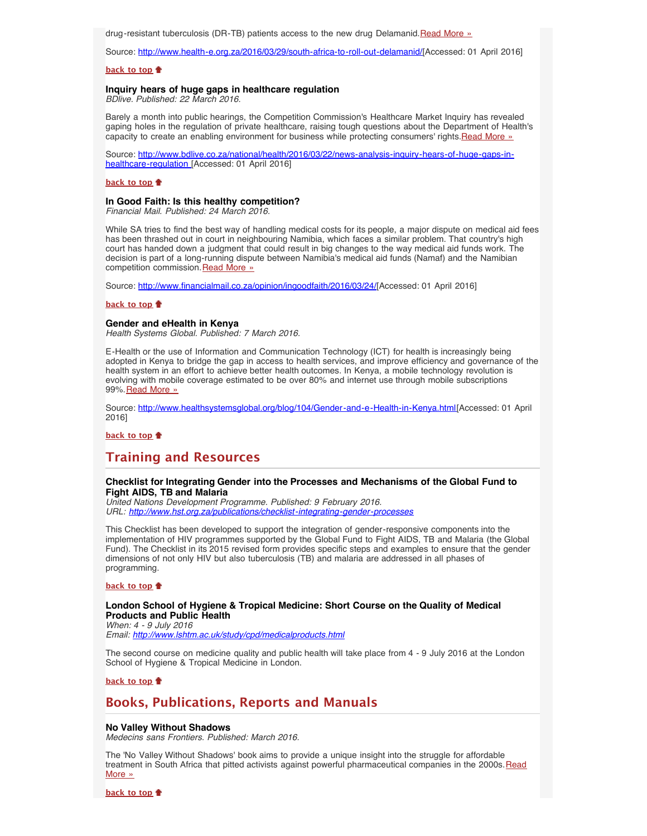drug-resistant tuberculosis (DR-TB) patients access to the new drug Delamanid.[Read More »](http://www.hst.org.za/news/delamanid-clinical-access-programme-expected)

Source: <http://www.health-e.org.za/2016/03/29/south-africa-to-roll-out-delamanid/>[Accessed: 01 April 2016]

## **[back to top](#page-0-3)**

#### **Inquiry hears of huge gaps in healthcare regulation**

*BDlive. Published: 22 March 2016.*

Barely a month into public hearings, the Competition Commission's Healthcare Market Inquiry has revealed gaping holes in the regulation of private healthcare, raising tough questions about the Department of Health's capacity to create an enabling environment for business while protecting consumers' rights.[Read More »](http://www.hst.org.za/news/inquiry-hears-huge-gaps-healthcare-regulation)

Source: [http://www.bdlive.co.za/national/health/2016/03/22/news-analysis-inquiry-hears-of-huge-gaps-in](http://www.bdlive.co.za/national/health/2016/03/22/news-analysis-inquiry-hears-of-huge-gaps-in-healthcare-regulation)[healthcare-regulation](http://www.bdlive.co.za/national/health/2016/03/22/news-analysis-inquiry-hears-of-huge-gaps-in-healthcare-regulation) [Accessed: 01 April 2016]

#### **[back to top](#page-0-3)**

## **In Good Faith: Is this healthy competition?**

*Financial Mail. Published: 24 March 2016.*

While SA tries to find the best way of handling medical costs for its people, a major dispute on medical aid fees has been thrashed out in court in neighbouring Namibia, which faces a similar problem. That country's high court has handed down a judgment that could result in big changes to the way medical aid funds work. The decision is part of a long-running dispute between Namibia's medical aid funds (Namaf) and the Namibian competition commission. [Read More »](http://www.hst.org.za/news/good-faith-healthy-competition)

Source: [http://www.financialmail.co.za/opinion/ingoodfaith/2016/03/24/\[](http://www.financialmail.co.za/opinion/ingoodfaith/2016/03/24/in-good-faith-is-this-healthy-competition)Accessed: 01 April 2016]

#### **[back to top](#page-0-3)**

#### **Gender and eHealth in Kenya**

*Health Systems Global. Published: 7 March 2016.*

E-Health or the use of Information and Communication Technology (ICT) for health is increasingly being adopted in Kenya to bridge the gap in access to health services, and improve efficiency and governance of the health system in an effort to achieve better health outcomes. In Kenya, a mobile technology revolution is evolving with mobile coverage estimated to be over 80% and internet use through mobile subscriptions 99%. [Read More »](http://www.hst.org.za/news/gender-and-ehealth-kenya)

Source: [http://www.healthsystemsglobal.org/blog/104/Gender-and-e-Health-in-Kenya.html\[](http://www.healthsystemsglobal.org/blog/104/Gender-and-e-Health-in-Kenya.html)Accessed: 01 April 2016]

**[back to top](#page-0-3)**

# **Training and Resources**

#### **Checklist for Integrating Gender into the Processes and Mechanisms of the Global Fund to Fight AIDS, TB and Malaria**

*United Nations Development Programme. Published: 9 February 2016. URL: [http://www.hst.org.za/publications/checklist-integrating-gender-processes](http://www.hst.org.za/publications/checklist-integrating-gender-processes-and-mechanisms-global-fund-fight-aids-tb-and-mal)*

This Checklist has been developed to support the integration of gender-responsive components into the implementation of HIV programmes supported by the Global Fund to Fight AIDS, TB and Malaria (the Global Fund). The Checklist in its 2015 revised form provides specific steps and examples to ensure that the gender dimensions of not only HIV but also tuberculosis (TB) and malaria are addressed in all phases of programming.

#### **[back to top](#page-0-3)**

#### <span id="page-2-0"></span>**London School of Hygiene & Tropical Medicine: Short Course on the Quality of Medical Products and Public Health**

*When: 4 - 9 July 2016 Email: <http://www.lshtm.ac.uk/study/cpd/medicalproducts.html>*

The second course on medicine quality and public health will take place from 4 - 9 July 2016 at the London School of Hygiene & Tropical Medicine in London.

**[back to top](#page-0-3)**

# <span id="page-2-1"></span>**Books, Publications, Reports and Manuals**

#### **No Valley Without Shadows**

*Medecins sans Frontiers. Published: March 2016.*

The 'No Valley Without Shadows' book aims to provide a unique insight into the struggle for affordable treatment in South Africa that pitted activists against powerful pharmaceutical companies in the 2000s. [Read](http://www.hst.org.za/publications/no-valley-without-shadows) [More »](http://www.hst.org.za/publications/no-valley-without-shadows)

**[back to top](#page-0-3)**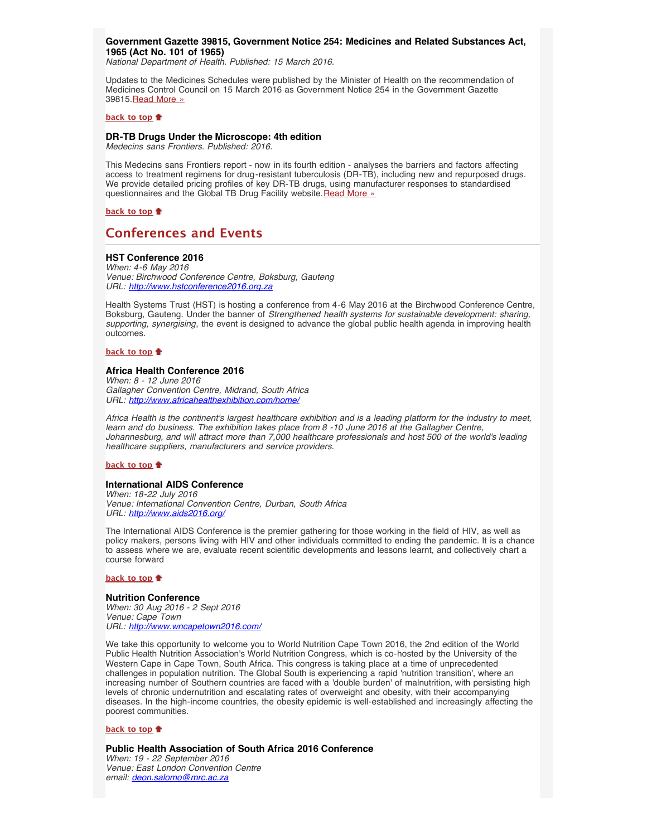## **Government Gazette 39815, Government Notice 254: Medicines and Related Substances Act, 1965 (Act No. 101 of 1965)**

*National Department of Health. Published: 15 March 2016.*

Updates to the Medicines Schedules were published by the Minister of Health on the recommendation of Medicines Control Council on 15 March 2016 as Government Notice 254 in the Government Gazette 39815. [Read More »](http://www.hst.org.za/publications/government-gazette-39815-government-notice-254-medicines-and-related-substances-act-196)

#### **[back to top](#page-0-3)**

#### <span id="page-3-0"></span>**DR-TB Drugs Under the Microscope: 4th edition** *Medecins sans Frontiers. Published: 2016.*

This Medecins sans Frontiers report - now in its fourth edition - analyses the barriers and factors affecting

access to treatment regimens for drug-resistant tuberculosis (DR-TB), including new and repurposed drugs. We provide detailed pricing profiles of key DR-TB drugs, using manufacturer responses to standardised questionnaires and the Global TB Drug Facility website. [Read More »](http://www.hst.org.za/publications/dr-tb-drugs-under-microscope-4th-edition)

**[back to top](#page-0-3)**

# <span id="page-3-1"></span>**Conferences and Events**

## **HST Conference 2016**

*When: 4-6 May 2016 Venue: Birchwood Conference Centre, Boksburg, Gauteng URL: [http://www.hstconference2016.org.za](http://www.hstconference2016.org.za/)*

Health Systems Trust (HST) is hosting a conference from 4-6 May 2016 at the Birchwood Conference Centre, Boksburg, Gauteng. Under the banner of *Strengthened health systems for sustainable development: sharing, supporting, synergising*, the event is designed to advance the global public health agenda in improving health outcomes.

## **[back to top](#page-0-3)**

## **Africa Health Conference 2016**

*When: 8 - 12 June 2016 Gallagher Convention Centre, Midrand, South Africa URL: <http://www.africahealthexhibition.com/home/>*

*Africa Health is the continent's largest healthcare exhibition and is a leading platform for the industry to meet, learn and do business. The exhibition takes place from 8 -10 June 2016 at the Gallagher Centre, Johannesburg, and will attract more than 7,000 healthcare professionals and host 500 of the world's leading healthcare suppliers, manufacturers and service providers.*

## **[back to top](#page-0-3)**

#### **International AIDS Conference**

*When: 18-22 July 2016 Venue: International Convention Centre, Durban, South Africa URL: <http://www.aids2016.org/>*

The International AIDS Conference is the premier gathering for those working in the field of HIV, as well as policy makers, persons living with HIV and other individuals committed to ending the pandemic. It is a chance to assess where we are, evaluate recent scientific developments and lessons learnt, and collectively chart a course forward

#### **[back to top](#page-0-3)**

#### **Nutrition Conference**

*When: 30 Aug 2016 - 2 Sept 2016 Venue: Cape Town URL: <http://www.wncapetown2016.com/>*

We take this opportunity to welcome you to World Nutrition Cape Town 2016, the 2nd edition of the World Public Health Nutrition Association's World Nutrition Congress, which is co-hosted by the University of the Western Cape in Cape Town, South Africa. This congress is taking place at a time of unprecedented challenges in population nutrition. The Global South is experiencing a rapid 'nutrition transition', where an increasing number of Southern countries are faced with a 'double burden' of malnutrition, with persisting high levels of chronic undernutrition and escalating rates of overweight and obesity, with their accompanying diseases. In the high-income countries, the obesity epidemic is well-established and increasingly affecting the poorest communities.

## **[back to top](#page-0-3)**

**Public Health Association of South Africa 2016 Conference** *When: 19 - 22 September 2016 Venue: East London Convention Centre email: [deon.salomo@mrc.ac.za](file:///Users/DTP/Desktop/deon.salomo@mrc.ac.za)*